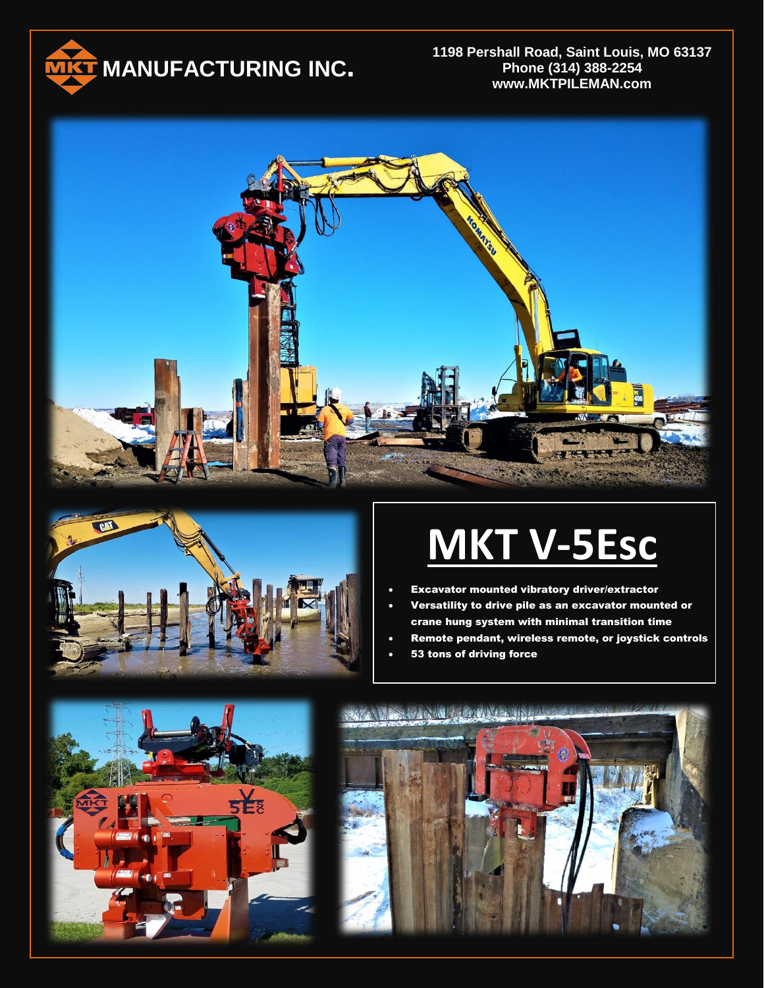

**1198 Pershall Road, Saint Louis, MO 63137 Phone (314) 388-2254 www.MKTPILEMAN.com**





## **MKT V-5Esc**

- Excavator mounted vibratory driver/extractor
- Versatility to drive pile as an excavator mounted or crane hung system with minimal transition time
- Remote pendant, wireless remote, or joystick controls
- 53 tons of driving force